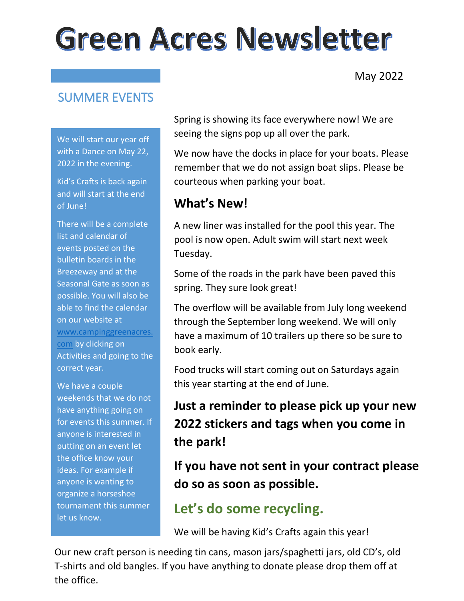# **Green Acres Newsletter**

May 2022

#### SUMMER EVENTS

We will start our year off with a Dance on May 22, 2022 in the evening.

Kid's Crafts is back again and will start at the end of June!

There will be a complete list and calendar of events posted on the bulletin boards in the Breezeway and at the Seasonal Gate as soon as possible. You will also be able to find the calendar on our website at [www.campinggreenacres.](http://www.campinggreenacres.com/) [com](http://www.campinggreenacres.com/) by clicking on Activities and going to the correct year.

We have a couple weekends that we do not have anything going on for events this summer. If anyone is interested in putting on an event let the office know your ideas. For example if anyone is wanting to organize a horseshoe tournament this summer let us know.

Spring is showing its face everywhere now! We are seeing the signs pop up all over the park.

We now have the docks in place for your boats. Please remember that we do not assign boat slips. Please be courteous when parking your boat.

#### **What's New!**

A new liner was installed for the pool this year. The pool is now open. Adult swim will start next week Tuesday.

Some of the roads in the park have been paved this spring. They sure look great!

The overflow will be available from July long weekend through the September long weekend. We will only have a maximum of 10 trailers up there so be sure to book early.

Food trucks will start coming out on Saturdays again this year starting at the end of June.

# **Just a reminder to please pick up your new 2022 stickers and tags when you come in the park!**

**If you have not sent in your contract please do so as soon as possible.**

#### **Let's do some recycling.**

We will be having Kid's Crafts again this year!

Our new craft person is needing tin cans, mason jars/spaghetti jars, old CD's, old T-shirts and old bangles. If you have anything to donate please drop them off at the office.